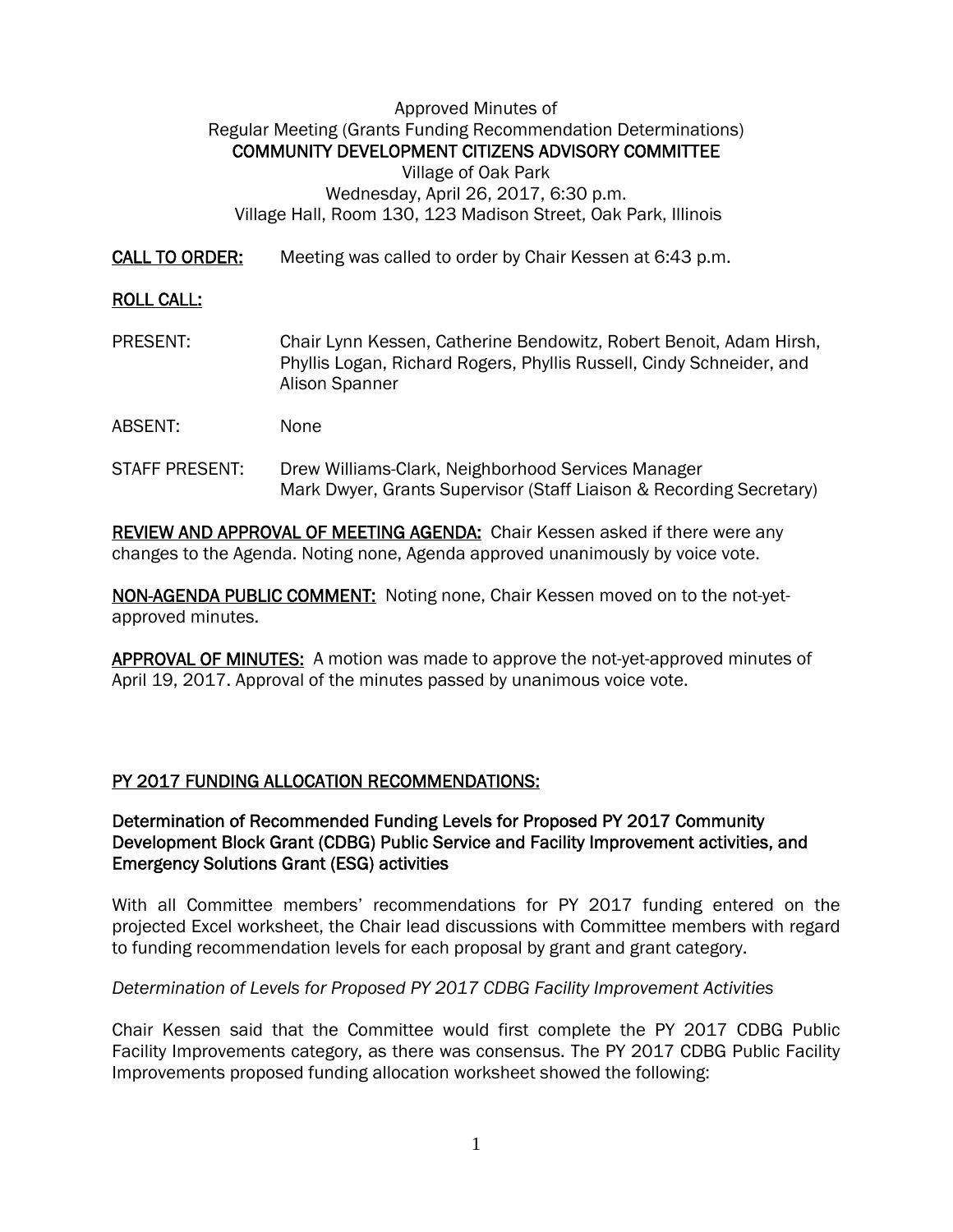### Approved Minutes of Regular Meeting (Grants Funding Recommendation Determinations) COMMUNITY DEVELOPMENT CITIZENS ADVISORY COMMITTEE Village of Oak Park Wednesday, April 26, 2017, 6:30 p.m. Village Hall, Room 130, 123 Madison Street, Oak Park, Illinois

CALL TO ORDER: Meeting was called to order by Chair Kessen at 6:43 p.m.

# ROLL CALL:

- PRESENT: Chair Lynn Kessen, Catherine Bendowitz, Robert Benoit, Adam Hirsh, Phyllis Logan, Richard Rogers, Phyllis Russell, Cindy Schneider, and Alison Spanner
- ABSENT: None
- STAFF PRESENT: Drew Williams-Clark, Neighborhood Services Manager Mark Dwyer, Grants Supervisor (Staff Liaison & Recording Secretary)

REVIEW AND APPROVAL OF MEETING AGENDA: Chair Kessen asked if there were any changes to the Agenda. Noting none, Agenda approved unanimously by voice vote.

NON-AGENDA PUBLIC COMMENT: Noting none, Chair Kessen moved on to the not-yetapproved minutes.

APPROVAL OF MINUTES: A motion was made to approve the not-yet-approved minutes of April 19, 2017. Approval of the minutes passed by unanimous voice vote.

### PY 2017 FUNDING ALLOCATION RECOMMENDATIONS:

Determination of Recommended Funding Levels for Proposed PY 2017 Community Development Block Grant (CDBG) Public Service and Facility Improvement activities, and Emergency Solutions Grant (ESG) activities

With all Committee members' recommendations for PY 2017 funding entered on the projected Excel worksheet, the Chair lead discussions with Committee members with regard to funding recommendation levels for each proposal by grant and grant category.

### *Determination of Levels for Proposed PY 2017 CDBG Facility Improvement Activities*

Chair Kessen said that the Committee would first complete the PY 2017 CDBG Public Facility Improvements category, as there was consensus. The PY 2017 CDBG Public Facility Improvements proposed funding allocation worksheet showed the following: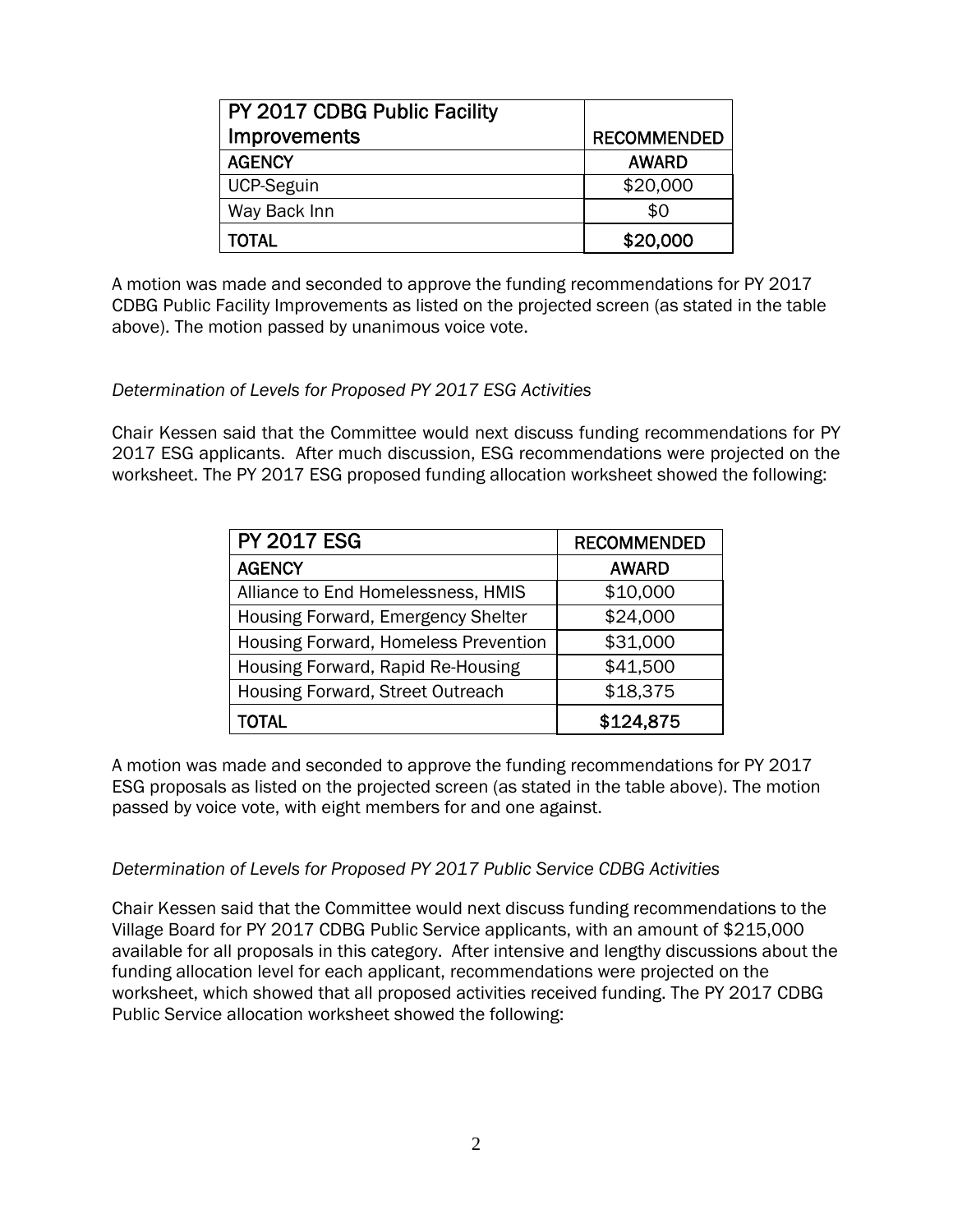| PY 2017 CDBG Public Facility |                    |
|------------------------------|--------------------|
| <b>Improvements</b>          | <b>RECOMMENDED</b> |
| <b>AGENCY</b>                | <b>AWARD</b>       |
| <b>UCP-Seguin</b>            | \$20,000           |
| Way Back Inn                 | \$0                |
| TOTAL                        | \$20,000           |

A motion was made and seconded to approve the funding recommendations for PY 2017 CDBG Public Facility Improvements as listed on the projected screen (as stated in the table above). The motion passed by unanimous voice vote.

## *Determination of Levels for Proposed PY 2017 ESG Activities*

Chair Kessen said that the Committee would next discuss funding recommendations for PY 2017 ESG applicants. After much discussion, ESG recommendations were projected on the worksheet. The PY 2017 ESG proposed funding allocation worksheet showed the following:

| <b>PY 2017 ESG</b>                   | <b>RECOMMENDED</b> |
|--------------------------------------|--------------------|
| <b>AGENCY</b>                        | <b>AWARD</b>       |
| Alliance to End Homelessness, HMIS   | \$10,000           |
| Housing Forward, Emergency Shelter   | \$24,000           |
| Housing Forward, Homeless Prevention | \$31,000           |
| Housing Forward, Rapid Re-Housing    | \$41,500           |
| Housing Forward, Street Outreach     | \$18,375           |
| TOTAL                                | \$124,875          |

A motion was made and seconded to approve the funding recommendations for PY 2017 ESG proposals as listed on the projected screen (as stated in the table above). The motion passed by voice vote, with eight members for and one against.

### *Determination of Levels for Proposed PY 2017 Public Service CDBG Activities*

Chair Kessen said that the Committee would next discuss funding recommendations to the Village Board for PY 2017 CDBG Public Service applicants, with an amount of \$215,000 available for all proposals in this category. After intensive and lengthy discussions about the funding allocation level for each applicant, recommendations were projected on the worksheet, which showed that all proposed activities received funding. The PY 2017 CDBG Public Service allocation worksheet showed the following: